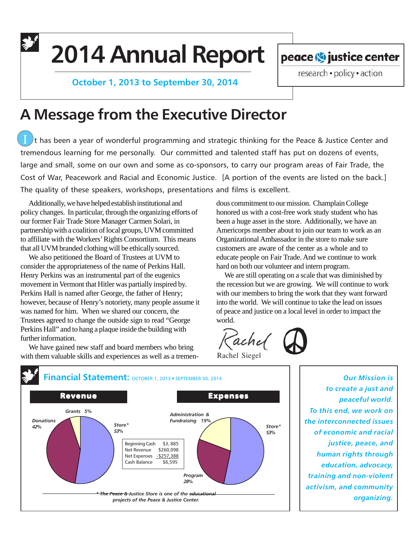**2014 Annual Report**

 **October 1, 2013 to September 30, 2014**

peace <>> **ightle in the center** 

research · policy · action

# **A Message from the Executive Director**

It has been a year of wonderful programming and strategic thinking for the Peace & Justice Center and tremendous learning for me personally. Our committed and talented staff has put on dozens of events, large and small, some on our own and some as co-sponsors, to carry our program areas of Fair Trade, the Cost of War, Peacework and Racial and Economic Justice. [A portion of the events are listed on the back.] The quality of these speakers, workshops, presentations and films is excellent.

Additionally, we have helped establish institutional and policy changes. In particular, through the organizing efforts of our former Fair Trade Store Manager Carmen Solari, in partnership with a coalition of local groups, UVM committed to affiliate with the Workers' Rights Consortium. This means that all UVM branded clothing will be ethically sourced.

We also petitioned the Board of Trustees at UVM to consider the appropriateness of the name of Perkins Hall. Henry Perkins was an instrumental part of the eugenics movement in Vermont that Hitler was partially inspired by. Perkins Hall is named after George, the father of Henry; however, because of Henry's notoriety, many people assume it was named for him. When we shared our concern, the Trustees agreed to change the outside sign to read "George Perkins Hall" and to hang a plaque inside the building with further information.

We have gained new staff and board members who bring with them valuable skills and experiences as well as a tremen-

dous commitment to our mission. Champlain College honored us with a cost-free work study student who has been a huge asset in the store. Additionally, we have an Americorps member about to join our team to work as an Organizational Ambassador in the store to make sure customers are aware of the center as a whole and to educate people on Fair Trade. And we continue to work hard on both our volunteer and intern program.

We are still operating on a scale that was diminished by the recession but we are growing. We will continue to work with our members to bring the work that they want forward into the world. We will continue to take the lead on issues of peace and justice on a local level in order to impact the world.

achel

Rachel Siegel



*Our Mission is to create a just and peaceful world. To this end, we work on the interconnected issues of economic and racial justice, peace, and human rights through education, advocacy, training and non-violent activism, and community organizing.*